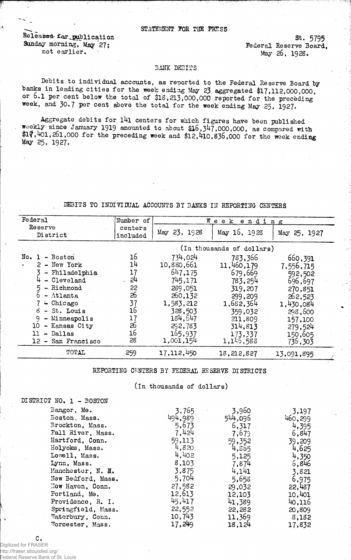#### STATEMENT FOR THE PRESS

Released for publication St. 5795<br>
Sunday morning, May 27;<br>
Sunday morning, May 27; Sunday morning, May 27;<br>not earlier. May 26, 1928. not earlier.

St. 5795

#### BANK DEBITS

Debits to individual accounts, as reported to the Federal Reserve Board by banks in leading cities for the week ending May 23 aggregated \$17,112,000,000, or 6.1 per cent below the total of  $$18,213,000,000$  reported for the preceding week, and 30.7 per cent above the total for the week ending May 25, 1927.

Aggregate debits for 141 centers for which figures have been published weekly since January 1919 amounted to about \$16,347,000,000, as compared with  $$17,401,201,000$  for the preceding week and  $$12,410,836,000$  for the week ending  $May$  25, 1927.

# DEBITS TO INDIVIDUAL ACCOUNTS BY BANKS IN REPORTING CENTERS

| Federal                                                                                                                                                                                                                            | Number of                                                            | Week,<br>ending                                                                                                                         |                                                                                                                                         |                                                                                                                                      |
|------------------------------------------------------------------------------------------------------------------------------------------------------------------------------------------------------------------------------------|----------------------------------------------------------------------|-----------------------------------------------------------------------------------------------------------------------------------------|-----------------------------------------------------------------------------------------------------------------------------------------|--------------------------------------------------------------------------------------------------------------------------------------|
| Reserve<br>District                                                                                                                                                                                                                | centers<br>included                                                  | May 23, 1928                                                                                                                            | May 16, 1928                                                                                                                            | May 25, 1927                                                                                                                         |
|                                                                                                                                                                                                                                    | (In thousands of dollars)                                            |                                                                                                                                         |                                                                                                                                         |                                                                                                                                      |
| $No. 1 - Boston$<br>$2 - New York$<br>- Philadelphia<br>$4 - C1$ eveland<br>$5 -$ Richmond<br>$-$ Atlanta<br>$7 -$ Chicago<br>8<br>- St. Louis<br>$9$ - Minneapolis<br>10<br>- Kansas City<br>- Dallas<br>11<br>12 - San Francisco | 16<br>14<br>17<br>24<br>22<br>26<br>37<br>16<br>17<br>26<br>16<br>28 | 734,024<br>10,880,661<br>647,175<br>745,171<br>289,051<br>260,132<br>1,583,212<br>328,503<br>184,647<br>292,783<br>165,937<br>1,001,154 | 783,366<br>11,460,179<br>679,669<br>783,254<br>319,207<br>299,209<br>1,682,364<br>359,032<br>211,809<br>314,813<br>173,337<br>1,146,588 | 660,391<br>7,556,715<br>592,502<br>696,697<br>270,851<br>262,523<br>1,430,084<br>298,600<br>157,100<br>279,524<br>150,605<br>736,303 |
| TOTAL                                                                                                                                                                                                                              | 259                                                                  | 17,112,450                                                                                                                              | 18,212,827                                                                                                                              | 13,091,895                                                                                                                           |

# REPORTING CENTERS BY FEDERAL RESERVE DISTRICTS

### $($ In thousands of dollars $)$

| DISTRICT NO. 1 - BOSTON |         |           |         |
|-------------------------|---------|-----------|---------|
| Bangor, Me.             | 3,765   | 3,960     | 3,197   |
| Boston, Mass.           | 494,989 | 544,096   | 460,299 |
| Brockton, Mass.         | 5,673   | 6,317     | 4,395   |
| Fall River, Mass.       | 7,424   | 7,679     | 6,847   |
| Hartford, Conn.         | 59,113  | $-59,352$ | 39,209  |
| Holyoke, Mass.          | 4,820   | 4,855     | 4,625   |
| Lowell, Mass.           | 4,402   | 5,125     | 4,350   |
| Lynn, Mass.             | 8,103   | 7,874     | 6,846   |
| Manchester, N. H.       | 3,875   | 4,141     | 3,821   |
| New Bedford, Mass.      | 5,704   | 5,658     | 6,975   |
| Now Haven, Conn.        | 27,582  | 29,032    | 22,487  |
| Portland, Me.           | 12,613  | 12,103    | 10,401  |
| Providence, R. I.       | 45,417  | 41,389    | 40,116  |
| Springfield, Mass.      | 22,552  | 22,282    | 20,809  |
| Waterbury, Conn.        | 10,743  | 11,369    | 8,182   |
| Worcester, Mass.        | 17,249  | 18,124    | 17,832  |

C. Digitized for FRASER http://fraser.stlouisfed.org/ Federal Reserve Bank of St. Louis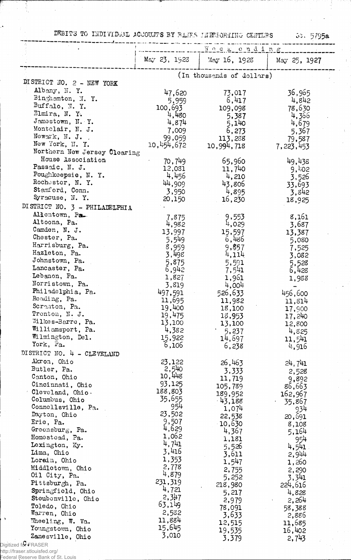DEBITS TO INDIVIDUAL ACCOUNTS BY BANKS LIFTEORTING CENTERS 5. 5795a

|                                      | <u> Meekending</u> |                           |                 |
|--------------------------------------|--------------------|---------------------------|-----------------|
|                                      | $M_{5y}$ 23, 1923  | May 16, 1928              | May 25, 1927    |
|                                      |                    |                           |                 |
| DISTRICT NO. 2 - NEW YORK            |                    | (In thousands of dollars) |                 |
| Albany, N.Y.                         |                    |                           |                 |
| Binghamton, N.Y.                     | 47,620             | 73,017                    | 36,965          |
| Buffalo, N.Y.                        | 5,959              | 6,417                     | 4,842           |
| Elmira, N. Y.                        | 100,693            | 109,098                   | 78,630          |
| Jamestown, N.Y.                      | 4,480              | 5,387                     | 4,366           |
| Montclair, N. J.                     | 4,874              | 5,140                     | 4,679           |
| Newark, N. J.                        | 7,009<br>99,059    | 6,273                     | 5,367           |
| New York, N. Y.                      | 10,454,672         | 113,288<br>10,994,718     | 79,587          |
| Northern New Jersey Clearing         |                    |                           | 7,223,453       |
| House Association                    | 70,749             | 65,960                    | 49,438          |
| Passaic, N. J.                       | 12,081             | 11,740                    | 9,402           |
| Poughkeepsie, N.Y.                   | 4,456              | 4,210                     | 3,526           |
| Rochester, N. Y.                     | 44,909             | 43,806                    | 33,693          |
| Stamford, Conn.                      | 3,950              | 4,895                     | 3,842           |
| Syracuse, N.Y.                       | 20,150             | 16,230                    | 18,925          |
| DI STRICT NO. 3 - PHILADELPHIA       |                    |                           |                 |
| Allentown, Pa.                       |                    |                           |                 |
| Altoona, Pa.                         | 7,875              | 9,553<br>4,029            | 8,161           |
| Camden, N. J.                        | 4,982              |                           | 3,687           |
| Chester, Pa.                         | 13,997             | 15,597<br>6,486           | 13,387          |
| Harrisburg, Pa.                      | 5,549<br>8,959     | 9,857                     | 5,080           |
| Hazleton, Pa.                        | 3,498              | 4,114                     | 7,525           |
| Johnstown, Pa.                       | 5,875              | 5,591                     | 3,082<br>5,528  |
| Lancaster, Pa.                       | 6,942              | 7,541                     | 6,428           |
| Lebanon, Pa.                         | 1,827              | 1,961                     | 1,988           |
| Norristown, Pa.                      | 3,819              | 4,004                     |                 |
| Philadelphia, Pa.                    | 497,591            | 526,633                   | 456,600         |
| Reading, Pa.                         | 11,695             | 11,982                    | 11,814          |
| Scranton, Pa.                        | 19,400             | 18,100                    | 17,900          |
| Trenton, N. J.                       | 19,475             | 18,953                    | 17,240          |
| Wilkes-Barre, Pa.                    | 13,100             | 13,100                    | 12,800          |
| Williamsport, Pa.                    | 4,382              | 5,237                     | 4,825           |
| Wilmington, Del.                     | 15,922             | 14,697                    | 11,541          |
| York, Pa.                            | 6,106              | 6,238                     | 4,916           |
| DISTRICT NO. 4 - CLEVELAND           |                    |                           |                 |
| Akron, Ohio                          | 23,122             | 26,463                    | 24, 741         |
| Butler, Pa.                          | 2,540              | 3,333                     | 2,528           |
| Canton, Ohio                         | 10,448             | 11,719                    | 9,892           |
| Cincinnati, Ohio                     | 93,125             | 105,789                   | 86,663          |
| Cleveland, Ohio.                     | 188,803            | 189,952                   | 162,967         |
| Columbus, Ohio                       | 35,655             | $-43,188$                 | 35,867          |
| Connellsville, Pa.                   | 954                | 1,074                     | 934             |
| Dayton, Ohio                         | 23,502             | 22,538                    | 20,691          |
| Erie, Pa.                            | 9,507              | 10,630                    | 8,108           |
| Greensburg, Pa.                      | 4,629              | 4,367                     | 5,164           |
| Homostead, Pa.                       | 1,062              | 1,181                     | 954             |
| Lexington, Ky.                       | 4,741              | 5,526                     | 4,541           |
| Lima, Ohio                           | 3,416              | 3,611                     | 2,944           |
| Lorain, Ohio                         | 1,353              | 1,547                     | 1,260           |
| Middletown, Ohio                     | 2,778              | 2,755                     | 2,290           |
| Oil City, Pa.                        | 4,879              | 5,252                     | 3,341           |
| Pittsburgh, Pa.                      | 231,319            | 218,980                   | 224,616         |
| Springfield, Ohio                    | 4,721              | 5,217                     | 4,828           |
| Steubenville, Ohio                   | 2,347              | 2,979                     | 2,264           |
| Toledo, Ohio                         | 63,149             | 78,091                    | 58,388          |
| Warren, Ohio                         | 2,582              | 3,633                     | 2,886           |
| Wheeling, W. Va.                     | 11,884<br>15,645   | 12,515                    | 11,685          |
| Youngstown, Ohio<br>Zanesville, Ohio | 3,010              | 19,535<br>3,379           | 16,402<br>2,743 |
|                                      |                    |                           |                 |

http://fraser.stlouisfed.org/

π

j.

Federal Reserve Bank of St. Louis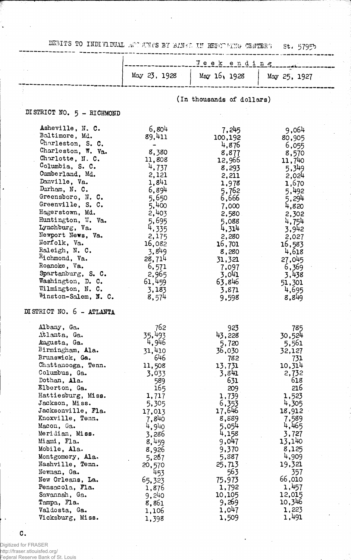DEBITS TO INDIVIDUAL ACTUALS BY BANKE IN REFORMING CENTERS St. 5795b

|                                     |                 | سرزار                     |                 |  |
|-------------------------------------|-----------------|---------------------------|-----------------|--|
|                                     |                 | Veekending                |                 |  |
|                                     | May 23, 1928    | May 16, 1928              | May 25, 1927    |  |
|                                     |                 |                           |                 |  |
|                                     |                 |                           |                 |  |
|                                     |                 | (In thousands of dollars) |                 |  |
| DISTRICT NO. 5 - RICHMOND           |                 |                           |                 |  |
|                                     |                 |                           |                 |  |
| Asheville, N. C.                    | 6,804           | 7,245                     | 9,064           |  |
| Baltimore, Md.                      | 89,411          | 100,192                   | 80,905          |  |
| Charleston, S. C.                   |                 | 4,876                     | 6,055           |  |
| Charleston, W. Va.                  | 8,380           | 8,877                     | 8,570           |  |
| Charlotte, N. C.<br>Columbia, S. C. | 11,808          | 12,966                    | 11,740          |  |
| Cumberland, Md.                     | 4,737           | 8,293                     | 5,349           |  |
| Danville, Va.                       | 2,121<br>1,841  | 2,211                     | 2,024           |  |
| Durham, N. C.                       | 6,894           | 1,978<br>5,762            | 1,670<br>5,492  |  |
| Greensboro, N. C.                   | 5,650           | 6,666                     | 5,294           |  |
| Greenville, S. C.                   | 5,400           | 7,000                     | 4,820           |  |
| Hagerstown, Md.                     | 2,403           | 2,580                     | 2,302           |  |
| Huntington, W. Va.                  | 5,695           | 5,088                     | 4,754           |  |
| Lynchburg, $Va.$                    | 4,335           | 4,314                     | 3,942           |  |
| Newport News, Va.                   | 2,175           | 2,280                     | 2,027           |  |
| Norfolk, Va.                        | 16,082          | 16,701                    | 16,583          |  |
| Raleigh, N. C.                      | 3,849           | 8,280                     | 4,618           |  |
| $R_1$ chmond, Va.<br>Roanoke, Va.   | 28,714          | 31,321                    | 27,045          |  |
| Spartanburg, S. C.                  | 6,571           | 7,097                     | 6,369           |  |
| Washington, D. C.                   | 2,965<br>61,459 | 3,041<br>63,846           | 3,438<br>51,301 |  |
| Wilmington, N. C.                   | 3,183           | 3,871                     | 4,695           |  |
| Winston-Salem, N. C.                | 8,574           | 9,598                     | 8,849           |  |
|                                     |                 |                           |                 |  |
| DISTRICT NO. 6 - ATLANTA            |                 |                           |                 |  |
| Albany, Ga.                         | 762             | 923                       | 785             |  |
| Atlanta, Ga.                        | 35,493          | 43,228                    | 30,524          |  |
| Augusta, Ga.                        | 4,946           | 5,720                     | 5,561           |  |
| Birmingham, Ala.                    | 31,410          | 36,030                    | 32,127          |  |
| Brunswick, Ga.                      | 646             | 782                       | 731             |  |
| Chattanooga, Tenn.                  | 11,508          | 13,731                    | 10,314          |  |
| Columbus, Ga.                       | 3,033           | 3,841                     | 2,732           |  |
| Dothan, Ala.                        | 589             | 631                       | 618             |  |
| Elberton, Ga.<br>Hattiesburg, Miss. | 165<br>1,717    | 209<br>1,739              | 216<br>1,523    |  |
| Jackson, Miss.                      | 5,305           | 6,353                     | 4,305           |  |
| Jacksonville, Fla.                  | 17,013          | 17,646                    | 18,912          |  |
| Knoxville, Tenn.                    | 7,840           | 8,889                     | 7,589           |  |
| Macon, Ga.                          | 4,940           | 5,054                     | 4,465           |  |
| Meridian, Miss.                     | 3,286           | 4,158                     | 3,727           |  |
| Miami, Fla.                         | 8,459           | 9,047                     | 13,140          |  |
| Mobile, Ala.                        | 8,926           | 9,370                     | 8,125           |  |
| Montgomery, Ala.                    | 5,267           | 5,887                     | 4,909           |  |
| Nashville, Tenn.                    | 20,570          | 25,713                    | 19,321          |  |
| Newman, Ga.                         | 453             | 563                       | 357<br>66,010   |  |
| New Orleans, La.<br>Pensacola, Fla. | 65,323<br>1,876 | 75,973<br>1,792           | 1,457           |  |
| Savannah, Ga.                       | 9,240           | 10,105                    | 12,015          |  |
| Tampa, Fla.                         | 8,861           | 9,269                     | 10,346          |  |
| Valdosta, Ga.                       | 1,106           | 1,047                     | 1,223           |  |
| Vicksburg, Miss.                    | 1,398           | 1,509                     | 1,491           |  |

 ${\tt C}$  .

 $\ddot{\bullet}$ 

Digitized for FRASER http://fraser.stlouisfed.org/ Federal Reserve Bank of St. Louis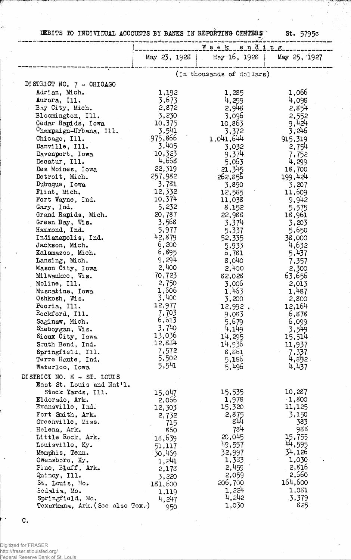DEBITS TO INDIVIDUAL ACCOUNTS BY BANKS IN REPORTING CENTERS St. 5795c

|                                                         | Week ending               |                 |                 |
|---------------------------------------------------------|---------------------------|-----------------|-----------------|
|                                                         | May 23, 1928              | May $16, 1928$  | May 25, 1927    |
|                                                         | (In thousands of dollars) |                 |                 |
| DISTRICT NO. 7 - CHICAGO                                |                           |                 |                 |
| Adrian, Mich.                                           | 1,192                     | 1,285           | 1,066           |
| Aurora, Ill.                                            | 3,673                     | 4,259           | 4,098           |
| Bay City, Mich.                                         | 2,872                     | 2,948           | 2,854           |
| Bloomington, Ill.                                       | 3,230                     | 3,096           | 2,552           |
| Cedar Rapids, Iowa                                      | 10,375                    | 10,863          | 9,424           |
| Champaign-Urbana, Ill.                                  | 3,541                     | 3,372           | 3,246           |
| Chicago, Ill.                                           | 975,866                   | 1,041,644       | 915,319         |
| Danville, Ill.                                          | 3,405                     | 3,032           | 2,754           |
| Davenport, Iowa                                         | 10,323                    | 9,374           | 7,752           |
| Decatur, Ill.                                           | 4,668                     | 5,063           | 4,299           |
| Des Moines, Iowa                                        | 22,319                    | 21,345          | 18,700          |
| Detroit, Mich.                                          | 257,982                   | 262,856         | 199,424         |
| Dubuque, Iowa                                           | 3,781                     | 3,890           | 3,207           |
| Flint, Mich.                                            | 12,332<br>10,374          | 12,585          | 11,609          |
| Fort Wayne, Ind.<br>Gary, Ind.                          | 5,232                     | 11,038<br>8,152 | 9,942           |
| Grand Rapids, Mich.                                     | 20,787                    | 22,988          | 5,575<br>18,961 |
| Green Bay, Wis.                                         | 3,568                     | 3,374           | 3,203           |
| Hammond, Ind.                                           | 5,977                     | 5,337           | 5,650           |
| Indianapolis, Ind.                                      | 42,879                    | 52,335          | 38,000          |
| Jackson, Mich.                                          | 6,200                     | 5,933           | 4,632           |
| Kalamazoo, Mich.                                        | 6,895                     | 6,781           | 5,437           |
| Lansing, Mich.                                          | 9,294                     | 8,040           | 7,357           |
| Mason City, Iowa                                        | 2,400                     | 2,400           | 2,300           |
| Milwaukee, Wis.                                         | 70,723                    | 82,028          | 63,656          |
| Moline, Ill.                                            | 2,750                     | 3,006           | 2,013           |
| Muscatine, Iowa                                         | 1,606                     | 1,463           | 1,487           |
| Oshkosh, Wis.                                           | 3,400                     | 3,200           | 2,800           |
| Peoria, Ill.                                            | 12,977                    | 12,992.         | 12,164          |
| Rockford, Ill.                                          | 7,703                     | 9,033           | 6,878           |
| Saginaw, Mich.                                          | 6,613                     | 5,679           | 6,099           |
| Sheboygan, Wis.                                         | 3,740<br>13,036           | 4,149           | 3,549           |
| Sioux City, Iowa                                        | 12,884                    | 14,295          | 15,514          |
| South Bend, Ind.<br>Springfield, Ill.                   | 7,572                     | 14,936          | 11,937          |
| Terre Haute, Ind.                                       | 5,502                     | 8,861<br>5,186  | 7,337<br>4,852  |
| Waterloo, Iowa                                          | 5,541                     | 5,496           | 4,437           |
|                                                         |                           |                 |                 |
| DISTRICT NO. 8 - ST. LOUIS<br>East St. Louis and Nat'l. |                           |                 |                 |
| Stock Yards, Ill.                                       | 15,047                    | 15,535          | 10,287          |
| Eldorado, Ark.                                          | 2,066                     | 1,978           | 1,800           |
| Evansville, Ind.                                        | 12,303                    | 15,320          | 11,125          |
| Fort Smith, Ark.                                        | 2,732                     | 2,875           | 3,150           |
| Greenville, Miss.                                       | 715                       | $84 +$          | 383             |
| Helena, Ark.                                            | 860                       | 784             | 988             |
| Little Rock, Ark.                                       | 18,639                    | 20,045          | 15,755          |
| Louisville, Ky.                                         | 51,117                    | 149,557         | 44,595          |
| Memphis, Tenn.                                          | 30,469                    | 32,997          | 34,126          |
| Owensboro, Ky.                                          | 1,241                     | 1,333           | 1,030           |
| Pine, Bluff, Ark.                                       | 2,178                     | 2,459           | 2,816           |
| Quincy, Ill.                                            | 3,220                     | 2,059           | 2,660           |
| St. Louis, Mo.                                          | 181,600                   | 206,700         | 164,600         |
| Sedalia, Mo.                                            | 1,119                     | 1,224           | 1,031           |
| Springfield, Mo.<br>Texarkana, Ark. (See also Tex.)     | 4,247                     | 4,242<br>1,030  | 3,379<br>825    |
|                                                         | 950                       |                 |                 |

C.

 $\ddot{\bullet}$ 

Digitized for FRASER http://fraser.stlouisfed.org/ Federal Reserve Bank of St. Louis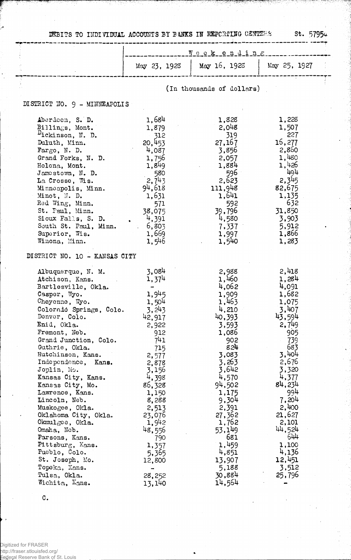DEBITS TO INDIVIDUAL ACCOUNTS BY BANKS IN REPORTING CENTERS St. 5795 $\omega$ 

------------- ^ ............ T-— :

|                                                                                                                                                                                                                                                                                                                                                                                                                                                                                                                                                   | Weekending                                                                                                                                                                                                                           |                                                                                                                                                                                                                                                |                                                                                                                                                                                                                                            |  |
|---------------------------------------------------------------------------------------------------------------------------------------------------------------------------------------------------------------------------------------------------------------------------------------------------------------------------------------------------------------------------------------------------------------------------------------------------------------------------------------------------------------------------------------------------|--------------------------------------------------------------------------------------------------------------------------------------------------------------------------------------------------------------------------------------|------------------------------------------------------------------------------------------------------------------------------------------------------------------------------------------------------------------------------------------------|--------------------------------------------------------------------------------------------------------------------------------------------------------------------------------------------------------------------------------------------|--|
|                                                                                                                                                                                                                                                                                                                                                                                                                                                                                                                                                   | May 23, 1923                                                                                                                                                                                                                         | May 16, 1923                                                                                                                                                                                                                                   | May 25, 1927                                                                                                                                                                                                                               |  |
|                                                                                                                                                                                                                                                                                                                                                                                                                                                                                                                                                   | (In thousands of dollars)                                                                                                                                                                                                            |                                                                                                                                                                                                                                                |                                                                                                                                                                                                                                            |  |
| DISTRICT NO. 9 - MINNEAFOLIS                                                                                                                                                                                                                                                                                                                                                                                                                                                                                                                      |                                                                                                                                                                                                                                      |                                                                                                                                                                                                                                                |                                                                                                                                                                                                                                            |  |
| Aberdeen, S. D.<br>Billings, Mont.<br>$D_{\text{ickinson}}$ , N. D.<br>Duluth, Minn.<br>$\texttt{Fargo}, \texttt{N. D.}$<br>Grand Forks, N. D.<br>Helena, Mont.<br>Jamestown, N. D.<br>La Crosse, Wis.<br>Minneapolis, Minn.<br>Minot, N. D.<br>Red Wing, Minn.<br>St. Paul, Minn.<br>Sioux Falls, S. D.<br>South St. Paul, Minn.<br>Superior, Wis.<br>Winona, Minn.                                                                                                                                                                              | 1,684<br>1,879<br>$-312$<br>20,453<br>4,087<br>1,756<br>1,849<br>580<br>2,743<br>94,618<br>1,631<br>571<br>38,075<br>4,391<br>6,803<br>1,669<br>1,546                                                                                | 1,828<br>2,048<br>319<br>27,167<br>3,856<br>2,057<br>1,884<br>596 i<br>2,623<br>111,948<br>1,641<br>592<br>39,796<br>4,580<br>7,337<br>1,997<br>1,540                                                                                          | 1,228<br>1,507<br>227<br>16,277<br>2,860<br>1,480<br>1,426<br>494<br>2,345<br>82,675<br>1,135<br>- 632<br>31,850<br>3,903<br>5,912<br>1,866<br>1,283                                                                                       |  |
| DISTRICT NO. 10 - KANSAS CITY                                                                                                                                                                                                                                                                                                                                                                                                                                                                                                                     |                                                                                                                                                                                                                                      |                                                                                                                                                                                                                                                |                                                                                                                                                                                                                                            |  |
| Albuquerque, N. M.<br>Atchison, Kans.<br>Bartlesville, Okla.<br>Casper, Wyo.<br>Cheyenne, Wyo.<br>Colorado Springs, Colo.<br>Denver, Colo.<br>Enid, Okla.<br>Fremont, Neb.<br>Grand Junction, Colo.<br>Guthrie, Okla.<br>Hutchinson, Kans.<br>Independence,<br>Kans.<br>Joplin, Mo.<br>Kansas City, Kans.<br>Kansas City, Mo.<br>Lawrence, Kans.<br>Lincoln, Neb.<br>Muskogee, Okla.<br>Oklahoma City, Okla.<br>$0$ kmul $_5$ ee, Okla.<br>Omaha, Neb.<br>Parsons, Kans.<br>Pittsburg, Kans.<br>Fueblo, Colo.<br>St. Joseph, Mo.<br>Topeka, Kans. | 3,084<br>1,374<br>$\sim$<br>1,945<br>1,504<br>3,243<br>42,917<br>2,922<br>912<br>741<br>715<br>2,577<br>2,878<br>3,156<br>4,398<br>86,328<br>1,150<br>8,288<br>2,513<br>23,076<br>1,942<br>48,556<br>790<br>1,357<br>5,365<br>12,800 | 2,988<br>1,460<br>4,062<br>1,909<br>1,463<br>4,210<br>40,393<br>3,593<br>1,086<br>902<br>824<br>3,083<br>3,263<br>3,642<br>4,570<br>94,502<br>1,175<br>9,304<br>2,391<br>27,362<br>1,762<br>53,149<br>681<br>1,459<br>4,851<br>13,907<br>5,188 | 2,418<br>1,284<br>4,091<br>1,682<br>1,075<br>3,407<br>43,594<br>2,749<br>905<br>739<br>683<br>3,404<br>2,676<br>3,320<br>4,377<br>84,234<br>994<br>7,204<br>2,400<br>21,627<br>2,101<br>44,524<br>644<br>1,100<br>4,136<br>12,451<br>3,512 |  |
| Tulsa, Okla.<br>Wichita, Kans.                                                                                                                                                                                                                                                                                                                                                                                                                                                                                                                    | 28,252<br>13,140                                                                                                                                                                                                                     | 30,884<br>14,564                                                                                                                                                                                                                               | 25,796                                                                                                                                                                                                                                     |  |

 $\mathbf{C}$ .

Digitized for FRASER http://fraser.stlouisfed.org/ Federal Reserve Bank of St. Louis